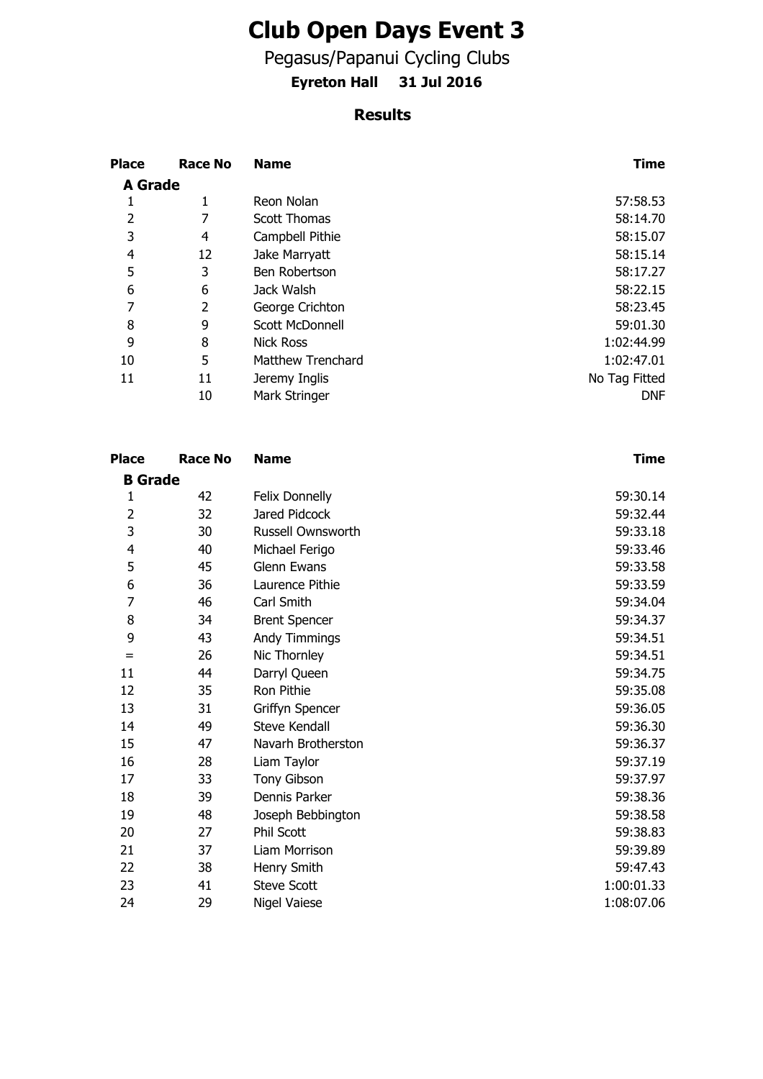## **Club Open Days Event 3**

Pegasus/Papanui Cycling Clubs

**Eyreton Hall 31 Jul 2016**

## **Results**

| <b>Place</b>   | Race No | <b>Name</b>              | Time          |
|----------------|---------|--------------------------|---------------|
| <b>A</b> Grade |         |                          |               |
| 1              | 1       | Reon Nolan               | 57:58.53      |
| 2              |         | <b>Scott Thomas</b>      | 58:14.70      |
| 3              | 4       | Campbell Pithie          | 58:15.07      |
| 4              | 12      | Jake Marryatt            | 58:15.14      |
| 5              | 3       | Ben Robertson            | 58:17.27      |
| 6              | 6       | Jack Walsh               | 58:22.15      |
| 7              | 2       | George Crichton          | 58:23.45      |
| 8              | 9       | Scott McDonnell          | 59:01.30      |
| 9              | 8       | <b>Nick Ross</b>         | 1:02:44.99    |
| 10             | 5       | <b>Matthew Trenchard</b> | 1:02:47.01    |
| 11             | 11      | Jeremy Inglis            | No Tag Fitted |
|                | 10      | Mark Stringer            | <b>DNF</b>    |

| <b>Place</b>   | <b>Race No</b> | <b>Name</b>           | <b>Time</b> |
|----------------|----------------|-----------------------|-------------|
| <b>B</b> Grade |                |                       |             |
| 1              | 42             | <b>Felix Donnelly</b> | 59:30.14    |
| 2              | 32             | Jared Pidcock         | 59:32.44    |
| 3              | 30             | Russell Ownsworth     | 59:33.18    |
| 4              | 40             | Michael Ferigo        | 59:33.46    |
| 5              | 45             | Glenn Ewans           | 59:33.58    |
| 6              | 36             | Laurence Pithie       | 59:33.59    |
| 7              | 46             | Carl Smith            | 59:34.04    |
| 8              | 34             | <b>Brent Spencer</b>  | 59:34.37    |
| 9              | 43             | Andy Timmings         | 59:34.51    |
| $=$            | 26             | Nic Thornley          | 59:34.51    |
| 11             | 44             | Darryl Queen          | 59:34.75    |
| 12             | 35             | Ron Pithie            | 59:35.08    |
| 13             | 31             | Griffyn Spencer       | 59:36.05    |
| 14             | 49             | Steve Kendall         | 59:36.30    |
| 15             | 47             | Navarh Brotherston    | 59:36.37    |
| 16             | 28             | Liam Taylor           | 59:37.19    |
| 17             | 33             | Tony Gibson           | 59:37.97    |
| 18             | 39             | Dennis Parker         | 59:38.36    |
| 19             | 48             | Joseph Bebbington     | 59:38.58    |
| 20             | 27             | Phil Scott            | 59:38.83    |
| 21             | 37             | Liam Morrison         | 59:39.89    |
| 22             | 38             | Henry Smith           | 59:47.43    |
| 23             | 41             | <b>Steve Scott</b>    | 1:00:01.33  |
| 24             | 29             | <b>Nigel Vaiese</b>   | 1:08:07.06  |